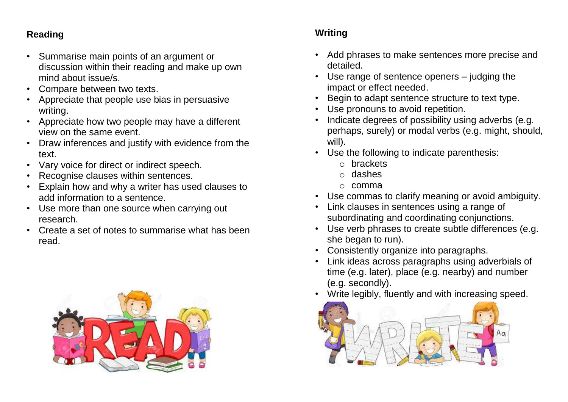### **Reading**

- Summarise main points of an argument or discussion within their reading and make up own mind about issue/s.
- Compare between two texts.
- Appreciate that people use bias in persuasive writing.
- Appreciate how two people may have a different view on the same event.
- Draw inferences and justify with evidence from the text.
- Vary voice for direct or indirect speech.
- Recognise clauses within sentences.
- Explain how and why a writer has used clauses to add information to a sentence.
- Use more than one source when carrying out research.
- Create a set of notes to summarise what has been read.



### **Writing**

- Add phrases to make sentences more precise and detailed.
- Use range of sentence openers judging the impact or effect needed.
- Begin to adapt sentence structure to text type.
- Use pronouns to avoid repetition.
- Indicate degrees of possibility using adverbs (e.g. perhaps, surely) or modal verbs (e.g. might, should, will).
- Use the following to indicate parenthesis:
	- o brackets
	- o dashes
	- o comma
- Use commas to clarify meaning or avoid ambiguity.
- Link clauses in sentences using a range of subordinating and coordinating conjunctions.
- Use verb phrases to create subtle differences (e.g. she began to run).
- Consistently organize into paragraphs.
- Link ideas across paragraphs using adverbials of time (e.g. later), place (e.g. nearby) and number (e.g. secondly).
- Write legibly, fluently and with increasing speed.